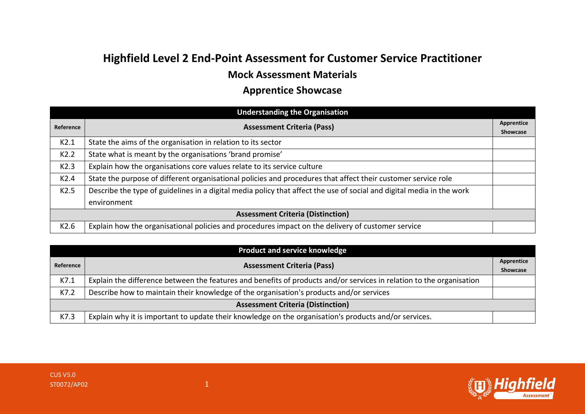## **Highfield Level 2 End-Point Assessment for Customer Service Practitioner**

## **Mock Assessment Materials**

## **Apprentice Showcase**

|                                          | <b>Understanding the Organisation</b>                                                                                                |                        |
|------------------------------------------|--------------------------------------------------------------------------------------------------------------------------------------|------------------------|
| Reference                                | <b>Assessment Criteria (Pass)</b>                                                                                                    | Apprentice<br>Showcase |
| K2.1                                     | State the aims of the organisation in relation to its sector                                                                         |                        |
| K2.2                                     | State what is meant by the organisations 'brand promise'                                                                             |                        |
| K2.3                                     | Explain how the organisations core values relate to its service culture                                                              |                        |
| K <sub>2.4</sub>                         | State the purpose of different organisational policies and procedures that affect their customer service role                        |                        |
| K2.5                                     | Describe the type of guidelines in a digital media policy that affect the use of social and digital media in the work<br>environment |                        |
| <b>Assessment Criteria (Distinction)</b> |                                                                                                                                      |                        |
| K2.6                                     | Explain how the organisational policies and procedures impact on the delivery of customer service                                    |                        |

| <b>Product and service knowledge</b>     |                                                                                                                      |                        |
|------------------------------------------|----------------------------------------------------------------------------------------------------------------------|------------------------|
| Reference                                | <b>Assessment Criteria (Pass)</b>                                                                                    | Apprentice<br>Showcase |
| K7.1                                     | Explain the difference between the features and benefits of products and/or services in relation to the organisation |                        |
| K7.2                                     | Describe how to maintain their knowledge of the organisation's products and/or services                              |                        |
| <b>Assessment Criteria (Distinction)</b> |                                                                                                                      |                        |
| K7.3                                     | Explain why it is important to update their knowledge on the organisation's products and/or services.                |                        |

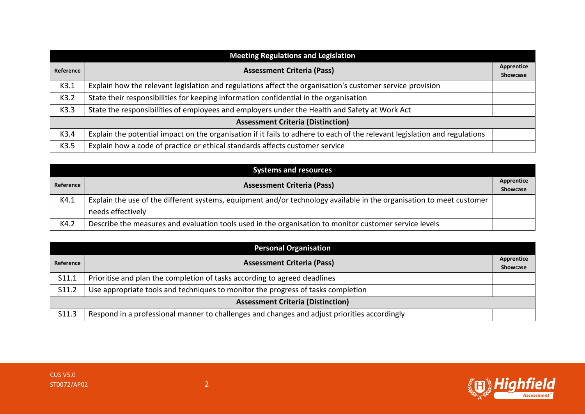| <b>Meeting Regulations and Legislation</b> |                                                                                                                            |            |
|--------------------------------------------|----------------------------------------------------------------------------------------------------------------------------|------------|
| Reference                                  | <b>Assessment Criteria (Pass)</b>                                                                                          | Apprentice |
|                                            |                                                                                                                            | Showcase   |
| K3.1                                       | Explain how the relevant legislation and regulations affect the organisation's customer service provision                  |            |
| K3.2                                       | State their responsibilities for keeping information confidential in the organisation                                      |            |
| K3.3                                       | State the responsibilities of employees and employers under the Health and Safety at Work Act                              |            |
| <b>Assessment Criteria (Distinction)</b>   |                                                                                                                            |            |
| K3.4                                       | Explain the potential impact on the organisation if it fails to adhere to each of the relevant legislation and regulations |            |
| K3.5                                       | Explain how a code of practice or ethical standards affects customer service                                               |            |

| <b>Systems and resources</b> |                                                                                                                      |                 |
|------------------------------|----------------------------------------------------------------------------------------------------------------------|-----------------|
|                              | <b>Assessment Criteria (Pass)</b><br>Reference                                                                       | Apprentice      |
|                              |                                                                                                                      | <b>Showcase</b> |
| K4.1                         | Explain the use of the different systems, equipment and/or technology available in the organisation to meet customer |                 |
|                              | needs effectively                                                                                                    |                 |
| K4.2                         | Describe the measures and evaluation tools used in the organisation to monitor customer service levels               |                 |

| <b>Personal Organisation</b>             |                                                                                              |                 |
|------------------------------------------|----------------------------------------------------------------------------------------------|-----------------|
|                                          | <b>Assessment Criteria (Pass)</b><br>Reference                                               | Apprentice      |
|                                          |                                                                                              | <b>Showcase</b> |
| S11.1                                    | Prioritise and plan the completion of tasks according to agreed deadlines                    |                 |
| S11.2                                    | Use appropriate tools and techniques to monitor the progress of tasks completion             |                 |
| <b>Assessment Criteria (Distinction)</b> |                                                                                              |                 |
| S11.3                                    | Respond in a professional manner to challenges and changes and adjust priorities accordingly |                 |

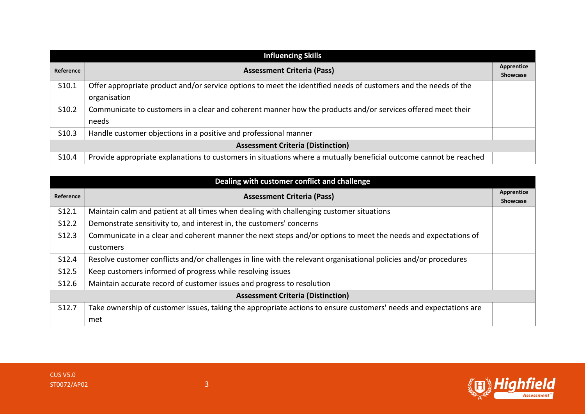| <b>Influencing Skills</b>                |                                                                                                                   |                        |
|------------------------------------------|-------------------------------------------------------------------------------------------------------------------|------------------------|
| Reference                                | <b>Assessment Criteria (Pass)</b>                                                                                 | Apprentice<br>Showcase |
| S10.1                                    | Offer appropriate product and/or service options to meet the identified needs of customers and the needs of the   |                        |
|                                          | organisation                                                                                                      |                        |
| S10.2                                    | Communicate to customers in a clear and coherent manner how the products and/or services offered meet their       |                        |
|                                          | needs                                                                                                             |                        |
| S <sub>10.3</sub>                        | Handle customer objections in a positive and professional manner                                                  |                        |
| <b>Assessment Criteria (Distinction)</b> |                                                                                                                   |                        |
| S <sub>10.4</sub>                        | Provide appropriate explanations to customers in situations where a mutually beneficial outcome cannot be reached |                        |

|                                          | Dealing with customer conflict and challenge                                                                      |                               |
|------------------------------------------|-------------------------------------------------------------------------------------------------------------------|-------------------------------|
| Reference                                | <b>Assessment Criteria (Pass)</b>                                                                                 | Apprentice<br><b>Showcase</b> |
| S <sub>12.1</sub>                        | Maintain calm and patient at all times when dealing with challenging customer situations                          |                               |
| S12.2                                    | Demonstrate sensitivity to, and interest in, the customers' concerns                                              |                               |
| S12.3                                    | Communicate in a clear and coherent manner the next steps and/or options to meet the needs and expectations of    |                               |
|                                          | customers                                                                                                         |                               |
| S12.4                                    | Resolve customer conflicts and/or challenges in line with the relevant organisational policies and/or procedures  |                               |
| S12.5                                    | Keep customers informed of progress while resolving issues                                                        |                               |
| S12.6                                    | Maintain accurate record of customer issues and progress to resolution                                            |                               |
| <b>Assessment Criteria (Distinction)</b> |                                                                                                                   |                               |
| S12.7                                    | Take ownership of customer issues, taking the appropriate actions to ensure customers' needs and expectations are |                               |
|                                          | met                                                                                                               |                               |